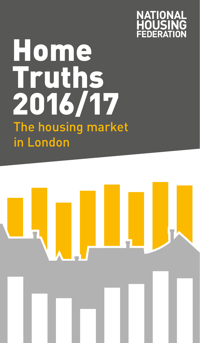

# **Home** Truths 2016/17 The housing market in London

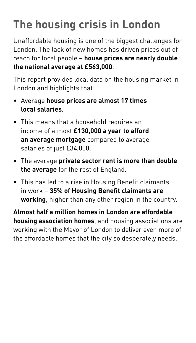### **The housing crisis in London**

Unaffordable housing is one of the biggest challenges for London. The lack of new homes has driven prices out of reach for local people – **house prices are nearly double the national average at £563,000**.

This report provides local data on the housing market in London and highlights that:

- Average **house prices are almost 17 times local salaries**.
- This means that a household requires an income of almost **£130,000 a year to afford an average mortgage** compared to average salaries of just £34,000.
- The average **private sector rent is more than double the average** for the rest of England.
- This has led to a rise in Housing Benefit claimants in work – **35% of Housing Benefit claimants are working**, higher than any other region in the country.

**Almost half a million homes in London are affordable housing association homes**, and housing associations are working with the Mayor of London to deliver even more of the affordable homes that the city so desperately needs.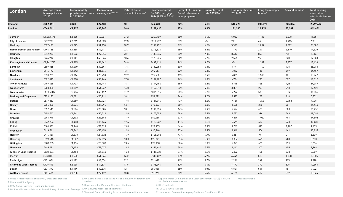| London                        | Average (mean)<br>house prices in<br>20161 | <b>Mean monthly</b><br>private sector rents earnings in 2015 <sup>3</sup><br>in 2015/16 <sup>2</sup> | Mean annual | Ratio of house<br>prices to incomes <sup>4</sup> | Income required<br>for 80% mortgage<br>2016 (80% at $3.5x$ ) <sup>5</sup> | <b>Percent of Housing</b><br><b>Benefit claimants</b><br>in employment <sup>6</sup> | Unemployment<br>rate 2015/167 | Five year shortfall<br>2011-20158 | Long term empty<br>homes <sup>9</sup> | Second homes <sup>10</sup> | <b>Total housing</b><br>association<br>affordable homes<br>201611 |
|-------------------------------|--------------------------------------------|------------------------------------------------------------------------------------------------------|-------------|--------------------------------------------------|---------------------------------------------------------------------------|-------------------------------------------------------------------------------------|-------------------------------|-----------------------------------|---------------------------------------|----------------------------|-------------------------------------------------------------------|
| <b>England</b>                | £282,011                                   | £820                                                                                                 | £27,680     | 10 <sup>1</sup>                                  | £64,460                                                                   | 24%                                                                                 | 5.1%                          | 510,620                           | 203,596                               | 245,324                    | 2,667,406                                                         |
| London                        | £563,041                                   | £1,727                                                                                               | £33,940     | 16.6                                             | £128,695                                                                  | 35%                                                                                 | 6.0%                          | 181,240                           | 20,915                                | 45,209                     | 449,451                                                           |
|                               |                                            |                                                                                                      |             |                                                  |                                                                           |                                                                                     |                               |                                   |                                       |                            |                                                                   |
| Camden                        | £1,092,476                                 | £2,285                                                                                               | £40,201     | 27.2                                             | £249,709                                                                  | 25%                                                                                 | 5.6%                          | 5,052                             | 1,138                                 | 6,078                      | 11,851                                                            |
| City of London                | £937,289                                   | £2,249                                                                                               | £54,023     | 17.3                                             | £214,237                                                                  | 25%                                                                                 | n/a                           | 295                               | 44                                    | 1,915                      | 232                                                               |
| Hackney                       | £587,473                                   | £1,773                                                                                               | £31,450     | 18.7                                             | £134,279                                                                  | 34%                                                                                 | 6.9%                          | 5,339                             | 1,037                                 | 1,012                      | 26,589                                                            |
| Hammersmith and Fulham        | £944,458                                   | £1,886                                                                                               | £42,411     | 22.3                                             | £215,876                                                                  | 26%                                                                                 | 5.8%                          | 1,493                             | 267                                   | 2,110                      | 14,520                                                            |
| Haringey                      | £592,260                                   | £1,523                                                                                               | £29,396     | 20.1                                             | £135,374                                                                  | 39%                                                                                 | 7.0%                          | 8,412                             | 852                                   | n/a                        | 13,441                                                            |
| Islington                     | £744,914                                   | £1,941                                                                                               | £40,544     | 18.4                                             | £170,266                                                                  | 24%                                                                                 | 6.2%                          | 7,556                             | 953                                   | 340                        | 17,030                                                            |
| <b>Kensington and Chelsea</b> | £1,962,710                                 | £3,215                                                                                               | £56,462     | 34.8                                             | £448,619                                                                  | 24%                                                                                 | 4.7%                          | n/a                               | 1,289                                 | 8,657                      | 13,633                                                            |
| Lambeth                       | £569,856                                   | £1,690                                                                                               | £32,391     | 17.6                                             | £130,253                                                                  | 30%                                                                                 | 6.3%                          | 5,771                             | 1,142                                 | 475                        | 26,060                                                            |
| Lewisham                      | £414,170                                   | £1,242                                                                                               | £31,574     | 13.1                                             | £94,667                                                                   | 33%                                                                                 | 6.8%                          | 6,842                             | 725                                   | 349                        | 24,459                                                            |
| Newham                        | £330,968                                   | £1,314                                                                                               | £25,730     | 12.9                                             | £75,650                                                                   | 43%                                                                                 | 7.4%                          | 6,881                             | 1,318                                 | 421                        | 15,947                                                            |
| Southwark                     | £602,817                                   | £1,600                                                                                               | £33,946     | 17.8                                             | £137,787                                                                  | 26%                                                                                 | 6.9%                          | 6,764                             | 930                                   | 527                        | 19,312                                                            |
| <b>Tower Hamlets</b>          | £499,465                                   | £1,733                                                                                               | £35,443     | 14.1                                             | £114,164                                                                  | 35%                                                                                 | 6.8%                          | 5,796                             | 666                                   | 4,957                      | 34,367                                                            |
| Wandsworth                    | £708,805                                   | £1,889                                                                                               | £44,247     | 16.0                                             | £162,013                                                                  | 33%                                                                                 | 4.8%                          | 3,881                             | 263                                   | 990                        | 12,621                                                            |
| Westminster                   | £1,385,014                                 | £2,956                                                                                               | £43,472     | 31.9                                             | £316,575                                                                  | 25%                                                                                 | 5.7%                          | 5,294                             | 575                                   | 5,341                      | 16,055                                                            |
| <b>Barking and Dagenham</b>   | £254,183                                   | £1,099                                                                                               | £25,111     | 10.1                                             | £58,099                                                                   | 36%                                                                                 | 9.0%                          | 5,585                             | 202                                   | 114                        | 5,552                                                             |
| <b>Barnet</b>                 | £577,253                                   | £1,669                                                                                               | £32,921     | 17.5                                             | £131,944                                                                  | 43%                                                                                 | 5.6%                          | 7,189                             | 1,249                                 | 2,752                      | 9,405                                                             |
| <b>Bexley</b>                 | £306,396                                   | £1,036                                                                                               | £31,096     | 9.9                                              | £70,033                                                                   | 30%                                                                                 | 5.3%                          | 3,496                             | 395                                   | 36                         | 14,465                                                            |
| <b>Brent</b>                  | £522,611                                   | £1,584                                                                                               | £28,886     | 18.1                                             | £119,454                                                                  | 44%                                                                                 | 7.4%                          | 5,594                             | 405                                   | 300                        | 20,255                                                            |
| <b>Bromley</b>                | £451,743                                   | £1,241                                                                                               | £37,710     | 12.0                                             | £103,256                                                                  | 28%                                                                                 | 5.2%                          | 5,733                             | 696                                   | 546                        | 19,781                                                            |
| Croydon                       | £351,970                                   | £1,102                                                                                               | £29,650     | 11.9                                             | £80,450                                                                   | 33%                                                                                 | 5.5%                          | 7,299                             | 1,022                                 | 461                        | 14,508                                                            |
| Ealing                        | £542,224                                   | £1,458                                                                                               | £31,164     | 17.4                                             | £123,937                                                                  | 41%                                                                                 | 6.5%                          | 6,469                             | 667                                   | 263                        | 13,438                                                            |
| Enfield                       | £404,489                                   | £1,260                                                                                               | £29,328     | 13.8                                             | £92,455                                                                   | 44%                                                                                 | 6.1%                          | 9,749                             | 817                                   | 1,207                      | 9,455                                                             |
| Greenwich                     | £416,761                                   | £1,342                                                                                               | £33,654     | 12.4                                             | £95,260                                                                   | 27%                                                                                 | 6.7%                          | 2,860                             | 504                                   | 461                        | 15,998                                                            |
| Harrow                        | £474,186                                   | £1,370                                                                                               | £31,928     | 14.9                                             | £108,385                                                                  | 47%                                                                                 | 4.7%                          | 6,261                             | 97                                    | $\overline{2}$             | 5,309                                                             |
| Havering                      | £329,615                                   | £1,027                                                                                               | £32,874     | 10.0                                             | £75,341                                                                   | 31%                                                                                 | 5.4%                          | 3,336                             | 499                                   | 203                        | 5,633                                                             |
| Hillingdon                    | £408,755                                   | £1,194                                                                                               | £30,508     | 13.4                                             | £93,430                                                                   | 38%                                                                                 | 5.4%                          | 6,971                             | 463                                   | 991                        | 8,694                                                             |
| Hounslow                      | £483,411                                   | £1,659                                                                                               | £29,770     | 16.2                                             | £110,494                                                                  | 38%                                                                                 | 5.2%                          | 6,142                             | 403                                   | 458                        | 9,968                                                             |
| Kingston upon Thames          | £522,034                                   | £1,453                                                                                               | £34,060     | 15.3                                             | £119,322                                                                  | 37%                                                                                 | 5.2%                          | 4,872                             | 180                                   | 838                        | 2,909                                                             |
| Merton                        | £583,883                                   | £1,625                                                                                               | £41,226     | 14.2                                             | £133,459                                                                  | 38%                                                                                 | 4.9%                          | 4,446                             | 510                                   | 1,338                      | 12,055                                                            |
| Redbridge                     | £401,056                                   | £1,199                                                                                               | £33,004     | 12.2                                             | £91,670                                                                   | 46%                                                                                 | 5.7%                          | 9,246                             | 267                                   | 915                        | 5,528                                                             |
| <b>Richmond upon Thames</b>   | £779,819                                   | £2,036                                                                                               | £44,574     | 17.5                                             | £178,244                                                                  | 30%                                                                                 | 4.6%                          | 4,792                             | 370                                   | 525                        | 10,393                                                            |
| Sutton                        | £371,390                                   | £1,119                                                                                               | £30,675     | 12.1                                             | £84,889                                                                   | 35%                                                                                 | 5.0%                          | 5,861                             | 551                                   | 95                         | 6,422                                                             |
| <b>Waltham Forest</b>         | £401,471                                   | £1,230                                                                                               | £29,177     | 13.8                                             | £91,765                                                                   | 39%                                                                                 | 6.4%                          | 6,121                             | 419                                   | 532                        | 13,566                                                            |

1. Office for National Statistics (ONS), small area statistics

2. Valuation Office Agency

3. ONS, Annual Survey of Hours and Earnings

4. ONS, small area statistics and Annual Survey of Hours and Earnings 7. ONS, NOMIS model based estimates 8. Town and Country Planning Association household projections;

analysis 6. Department for Work and Pensions, Stat Xplore

5. ONS, small area statistics and National Housing Federation own

and Federation own analysis

9. DCLG table 615

10. DCLG Council Tax base

11. Homes and Communities Agency Statistical Data Return 2016

Department for Communities and Local Government (DCLG) table 253

n/a: not available